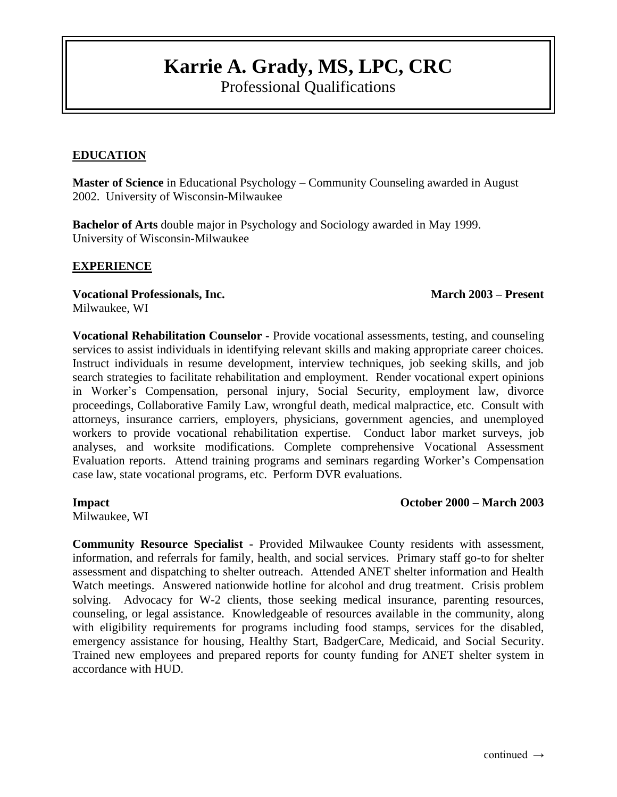# **Karrie A. Grady, MS, LPC, CRC**

Professional Qualifications

# **EDUCATION**

**Master of Science** in Educational Psychology – Community Counseling awarded in August 2002. University of Wisconsin-Milwaukee

**Bachelor of Arts** double major in Psychology and Sociology awarded in May 1999. University of Wisconsin-Milwaukee

# **EXPERIENCE**

**Vocational Professionals, Inc. March 2003 – Present** Milwaukee, WI

**Vocational Rehabilitation Counselor -** Provide vocational assessments, testing, and counseling services to assist individuals in identifying relevant skills and making appropriate career choices. Instruct individuals in resume development, interview techniques, job seeking skills, and job search strategies to facilitate rehabilitation and employment. Render vocational expert opinions in Worker's Compensation, personal injury, Social Security, employment law, divorce proceedings, Collaborative Family Law, wrongful death, medical malpractice, etc. Consult with attorneys, insurance carriers, employers, physicians, government agencies, and unemployed workers to provide vocational rehabilitation expertise. Conduct labor market surveys, job analyses, and worksite modifications. Complete comprehensive Vocational Assessment Evaluation reports. Attend training programs and seminars regarding Worker's Compensation case law, state vocational programs, etc. Perform DVR evaluations.

## **Impact October 2000 – March 2003**

Milwaukee, WI

**Community Resource Specialist -** Provided Milwaukee County residents with assessment, information, and referrals for family, health, and social services. Primary staff go-to for shelter assessment and dispatching to shelter outreach. Attended ANET shelter information and Health Watch meetings. Answered nationwide hotline for alcohol and drug treatment. Crisis problem solving. Advocacy for W-2 clients, those seeking medical insurance, parenting resources, counseling, or legal assistance. Knowledgeable of resources available in the community, along with eligibility requirements for programs including food stamps, services for the disabled, emergency assistance for housing, Healthy Start, BadgerCare, Medicaid, and Social Security. Trained new employees and prepared reports for county funding for ANET shelter system in accordance with HUD.